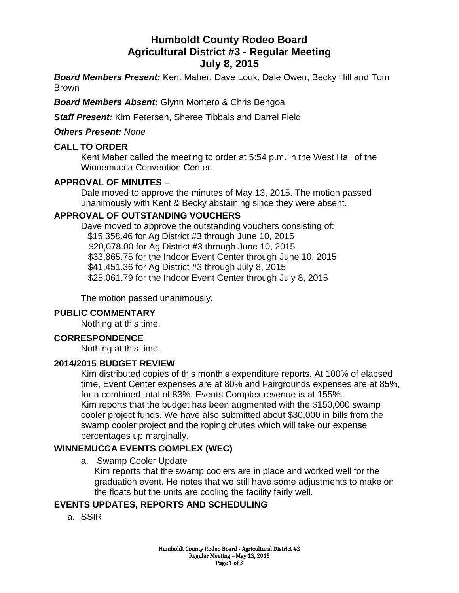# **Humboldt County Rodeo Board Agricultural District #3 - Regular Meeting July 8, 2015**

*Board Members Present:* Kent Maher, Dave Louk, Dale Owen, Becky Hill and Tom Brown

*Board Members Absent:* Glynn Montero & Chris Bengoa

*Staff Present:* Kim Petersen, Sheree Tibbals and Darrel Field

### *Others Present: None*

### **CALL TO ORDER**

Kent Maher called the meeting to order at 5:54 p.m. in the West Hall of the Winnemucca Convention Center.

### **APPROVAL OF MINUTES –**

Dale moved to approve the minutes of May 13, 2015. The motion passed unanimously with Kent & Becky abstaining since they were absent.

# **APPROVAL OF OUTSTANDING VOUCHERS**

Dave moved to approve the outstanding vouchers consisting of: \$15,358.46 for Ag District #3 through June 10, 2015 \$20,078.00 for Ag District #3 through June 10, 2015 \$33,865.75 for the Indoor Event Center through June 10, 2015 \$41,451.36 for Ag District #3 through July 8, 2015 \$25,061.79 for the Indoor Event Center through July 8, 2015

The motion passed unanimously.

# **PUBLIC COMMENTARY**

Nothing at this time.

#### **CORRESPONDENCE**

Nothing at this time.

#### **2014/2015 BUDGET REVIEW**

Kim distributed copies of this month's expenditure reports. At 100% of elapsed time, Event Center expenses are at 80% and Fairgrounds expenses are at 85%, for a combined total of 83%. Events Complex revenue is at 155%. Kim reports that the budget has been augmented with the \$150,000 swamp cooler project funds. We have also submitted about \$30,000 in bills from the swamp cooler project and the roping chutes which will take our expense percentages up marginally.

# **WINNEMUCCA EVENTS COMPLEX (WEC)**

a. Swamp Cooler Update

Kim reports that the swamp coolers are in place and worked well for the graduation event. He notes that we still have some adjustments to make on the floats but the units are cooling the facility fairly well.

# **EVENTS UPDATES, REPORTS AND SCHEDULING**

a. SSIR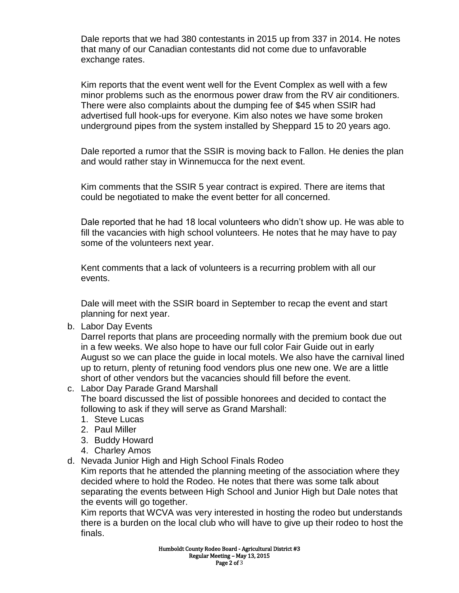Dale reports that we had 380 contestants in 2015 up from 337 in 2014. He notes that many of our Canadian contestants did not come due to unfavorable exchange rates.

Kim reports that the event went well for the Event Complex as well with a few minor problems such as the enormous power draw from the RV air conditioners. There were also complaints about the dumping fee of \$45 when SSIR had advertised full hook-ups for everyone. Kim also notes we have some broken underground pipes from the system installed by Sheppard 15 to 20 years ago.

Dale reported a rumor that the SSIR is moving back to Fallon. He denies the plan and would rather stay in Winnemucca for the next event.

Kim comments that the SSIR 5 year contract is expired. There are items that could be negotiated to make the event better for all concerned.

Dale reported that he had 18 local volunteers who didn't show up. He was able to fill the vacancies with high school volunteers. He notes that he may have to pay some of the volunteers next year.

Kent comments that a lack of volunteers is a recurring problem with all our events.

Dale will meet with the SSIR board in September to recap the event and start planning for next year.

b. Labor Day Events

Darrel reports that plans are proceeding normally with the premium book due out in a few weeks. We also hope to have our full color Fair Guide out in early August so we can place the guide in local motels. We also have the carnival lined up to return, plenty of retuning food vendors plus one new one. We are a little short of other vendors but the vacancies should fill before the event.

c. Labor Day Parade Grand Marshall

The board discussed the list of possible honorees and decided to contact the following to ask if they will serve as Grand Marshall:

- 1. Steve Lucas
- 2. Paul Miller
- 3. Buddy Howard
- 4. Charley Amos
- d. Nevada Junior High and High School Finals Rodeo

Kim reports that he attended the planning meeting of the association where they decided where to hold the Rodeo. He notes that there was some talk about separating the events between High School and Junior High but Dale notes that the events will go together.

Kim reports that WCVA was very interested in hosting the rodeo but understands there is a burden on the local club who will have to give up their rodeo to host the finals.